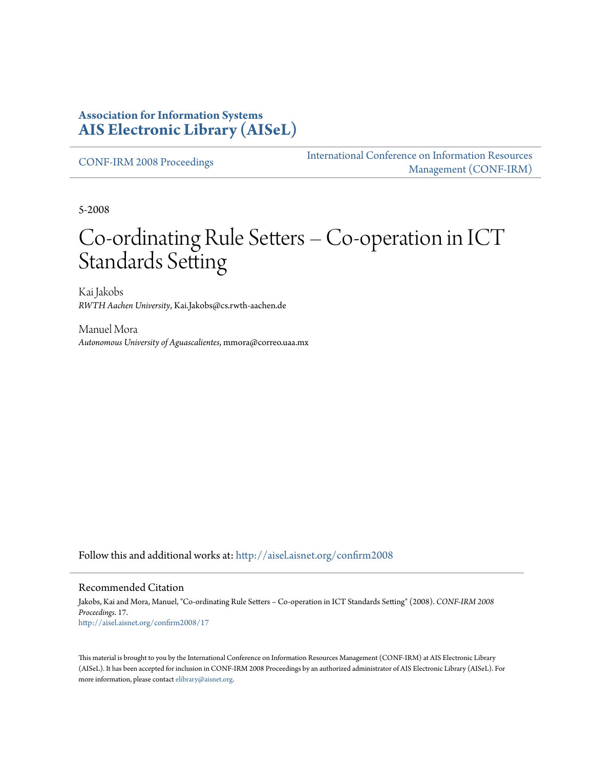#### **Association for Information Systems [AIS Electronic Library \(AISeL\)](http://aisel.aisnet.org?utm_source=aisel.aisnet.org%2Fconfirm2008%2F17&utm_medium=PDF&utm_campaign=PDFCoverPages)**

[CONF-IRM 2008 Proceedings](http://aisel.aisnet.org/confirm2008?utm_source=aisel.aisnet.org%2Fconfirm2008%2F17&utm_medium=PDF&utm_campaign=PDFCoverPages)

[International Conference on Information Resources](http://aisel.aisnet.org/conf-irm?utm_source=aisel.aisnet.org%2Fconfirm2008%2F17&utm_medium=PDF&utm_campaign=PDFCoverPages) [Management \(CONF-IRM\)](http://aisel.aisnet.org/conf-irm?utm_source=aisel.aisnet.org%2Fconfirm2008%2F17&utm_medium=PDF&utm_campaign=PDFCoverPages)

5-2008

# Co-ordinating Rule Setters – Co-operation in ICT Standards Setting

Kai Jakobs *RWTH Aachen University*, Kai.Jakobs@cs.rwth-aachen.de

Manuel Mora *Autonomous University of Aguascalientes*, mmora@correo.uaa.mx

Follow this and additional works at: [http://aisel.aisnet.org/confirm2008](http://aisel.aisnet.org/confirm2008?utm_source=aisel.aisnet.org%2Fconfirm2008%2F17&utm_medium=PDF&utm_campaign=PDFCoverPages)

#### Recommended Citation

Jakobs, Kai and Mora, Manuel, "Co-ordinating Rule Setters – Co-operation in ICT Standards Setting" (2008). *CONF-IRM 2008 Proceedings*. 17. [http://aisel.aisnet.org/confirm2008/17](http://aisel.aisnet.org/confirm2008/17?utm_source=aisel.aisnet.org%2Fconfirm2008%2F17&utm_medium=PDF&utm_campaign=PDFCoverPages)

This material is brought to you by the International Conference on Information Resources Management (CONF-IRM) at AIS Electronic Library (AISeL). It has been accepted for inclusion in CONF-IRM 2008 Proceedings by an authorized administrator of AIS Electronic Library (AISeL). For more information, please contact [elibrary@aisnet.org.](mailto:elibrary@aisnet.org%3E)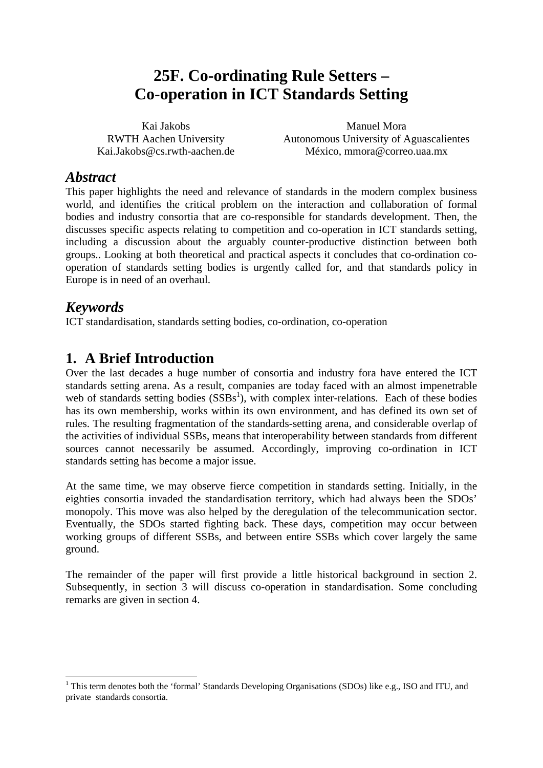## **25F. Co-ordinating Rule Setters – Co-operation in ICT Standards Setting**

Kai Jakobs RWTH Aachen University Kai.Jakobs@cs.rwth-aachen.de

Manuel Mora Autonomous University of Aguascalientes México, mmora@correo.uaa.mx

#### *Abstract*

This paper highlights the need and relevance of standards in the modern complex business world, and identifies the critical problem on the interaction and collaboration of formal bodies and industry consortia that are co-responsible for standards development. Then, the discusses specific aspects relating to competition and co-operation in ICT standards setting, including a discussion about the arguably counter-productive distinction between both groups.. Looking at both theoretical and practical aspects it concludes that co-ordination cooperation of standards setting bodies is urgently called for, and that standards policy in Europe is in need of an overhaul.

### *Keywords*

ICT standardisation, standards setting bodies, co-ordination, co-operation

### **1. A Brief Introduction**

Over the last decades a huge number of consortia and industry fora have entered the ICT standards setting arena. As a result, companies are today faced with an almost impenetrable web of standards setting bodies  $(SSBs<sup>1</sup>)$ , with complex inter-relations. Each of these bodies has its own membership, works within its own environment, and has defined its own set of rules. The resulting fragmentation of the standards-setting arena, and considerable overlap of the activities of individual SSBs, means that interoperability between standards from different sources cannot necessarily be assumed. Accordingly, improving co-ordination in ICT standards setting has become a major issue.

At the same time, we may observe fierce competition in standards setting. Initially, in the eighties consortia invaded the standardisation territory, which had always been the SDOs' monopoly. This move was also helped by the deregulation of the telecommunication sector. Eventually, the SDOs started fighting back. These days, competition may occur between working groups of different SSBs, and between entire SSBs which cover largely the same ground.

The remainder of the paper will first provide a little historical background in section 2. Subsequently, in section 3 will discuss co-operation in standardisation. Some concluding remarks are given in section 4.

<sup>&</sup>lt;u>.</u> <sup>1</sup> This term denotes both the 'formal' Standards Developing Organisations (SDOs) like e.g., ISO and ITU, and private standards consortia.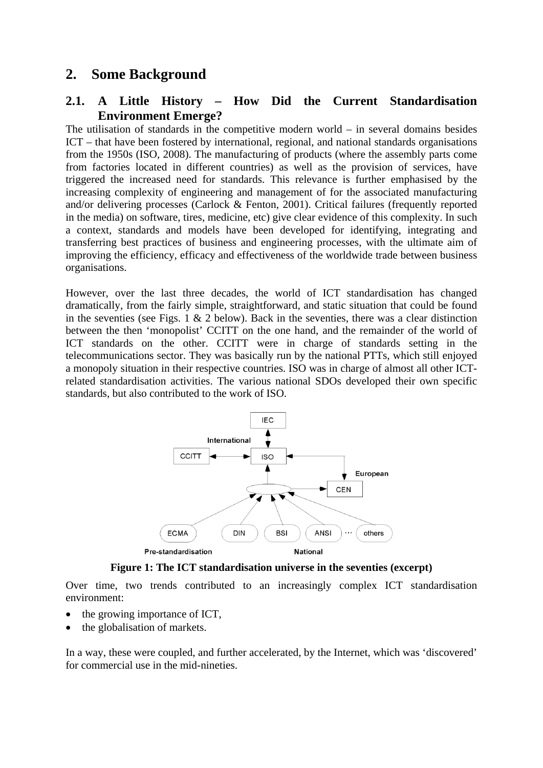#### **2. Some Background**

#### **2.1. A Little History – How Did the Current Standardisation Environment Emerge?**

The utilisation of standards in the competitive modern world  $-$  in several domains besides ICT – that have been fostered by international, regional, and national standards organisations from the 1950s (ISO, 2008). The manufacturing of products (where the assembly parts come from factories located in different countries) as well as the provision of services, have triggered the increased need for standards. This relevance is further emphasised by the increasing complexity of engineering and management of for the associated manufacturing and/or delivering processes (Carlock & Fenton, 2001). Critical failures (frequently reported in the media) on software, tires, medicine, etc) give clear evidence of this complexity. In such a context, standards and models have been developed for identifying, integrating and transferring best practices of business and engineering processes, with the ultimate aim of improving the efficiency, efficacy and effectiveness of the worldwide trade between business organisations.

However, over the last three decades, the world of ICT standardisation has changed dramatically, from the fairly simple, straightforward, and static situation that could be found in the seventies (see Figs.  $1 \& 2$  below). Back in the seventies, there was a clear distinction between the then 'monopolist' CCITT on the one hand, and the remainder of the world of ICT standards on the other. CCITT were in charge of standards setting in the telecommunications sector. They was basically run by the national PTTs, which still enjoyed a monopoly situation in their respective countries. ISO was in charge of almost all other ICTrelated standardisation activities. The various national SDOs developed their own specific standards, but also contributed to the work of ISO.





Over time, two trends contributed to an increasingly complex ICT standardisation environment:

- the growing importance of ICT,
- the globalisation of markets.

In a way, these were coupled, and further accelerated, by the Internet, which was 'discovered' for commercial use in the mid-nineties.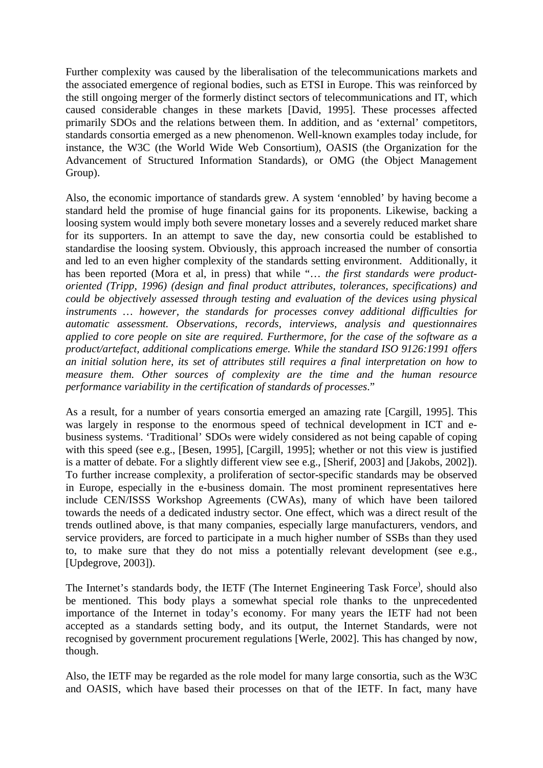Further complexity was caused by the liberalisation of the telecommunications markets and the associated emergence of regional bodies, such as ETSI in Europe. This was reinforced by the still ongoing merger of the formerly distinct sectors of telecommunications and IT, which caused considerable changes in these markets [David, 1995]. These processes affected primarily SDOs and the relations between them. In addition, and as 'external' competitors, standards consortia emerged as a new phenomenon. Well-known examples today include, for instance, the W3C (the World Wide Web Consortium), OASIS (the Organization for the Advancement of Structured Information Standards), or OMG (the Object Management Group).

Also, the economic importance of standards grew. A system 'ennobled' by having become a standard held the promise of huge financial gains for its proponents. Likewise, backing a loosing system would imply both severe monetary losses and a severely reduced market share for its supporters. In an attempt to save the day, new consortia could be established to standardise the loosing system. Obviously, this approach increased the number of consortia and led to an even higher complexity of the standards setting environment. Additionally, it has been reported (Mora et al, in press) that while "… *the first standards were productoriented (Tripp, 1996) (design and final product attributes, tolerances, specifications) and could be objectively assessed through testing and evaluation of the devices using physical instruments … however, the standards for processes convey additional difficulties for automatic assessment. Observations, records, interviews, analysis and questionnaires applied to core people on site are required. Furthermore, for the case of the software as a product/artefact, additional complications emerge. While the standard ISO 9126:1991 offers an initial solution here, its set of attributes still requires a final interpretation on how to measure them. Other sources of complexity are the time and the human resource performance variability in the certification of standards of processes*."

As a result, for a number of years consortia emerged an amazing rate [Cargill, 1995]. This was largely in response to the enormous speed of technical development in ICT and ebusiness systems. 'Traditional' SDOs were widely considered as not being capable of coping with this speed (see e.g., [Besen, 1995], [Cargill, 1995]; whether or not this view is justified is a matter of debate. For a slightly different view see e.g., [Sherif, 2003] and [Jakobs, 2002]). To further increase complexity, a proliferation of sector-specific standards may be observed in Europe, especially in the e-business domain. The most prominent representatives here include CEN/ISSS Workshop Agreements (CWAs), many of which have been tailored towards the needs of a dedicated industry sector. One effect, which was a direct result of the trends outlined above, is that many companies, especially large manufacturers, vendors, and service providers, are forced to participate in a much higher number of SSBs than they used to, to make sure that they do not miss a potentially relevant development (see e.g., [Updegrove, 2003]).

The Internet's standards body, the IETF (The Internet Engineering Task Force<sup>)</sup>, should also be mentioned. This body plays a somewhat special role thanks to the unprecedented importance of the Internet in today's economy. For many years the IETF had not been accepted as a standards setting body, and its output, the Internet Standards, were not recognised by government procurement regulations [Werle, 2002]. This has changed by now, though.

Also, the IETF may be regarded as the role model for many large consortia, such as the W3C and OASIS, which have based their processes on that of the IETF. In fact, many have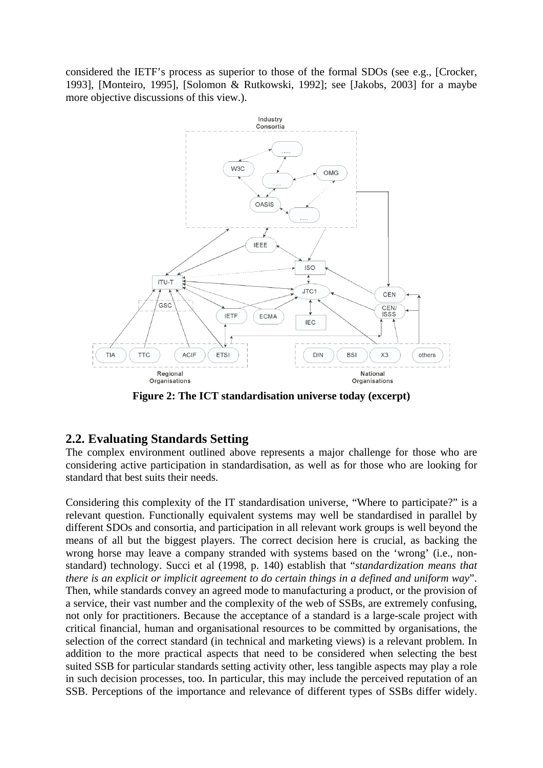considered the IETF's process as superior to those of the formal SDOs (see e.g., [Crocker, 1993], [Monteiro, 1995], [Solomon & Rutkowski, 1992]; see [Jakobs, 2003] for a maybe more objective discussions of this view.).



**Figure 2: The ICT standardisation universe today (excerpt)** 

#### **2.2. Evaluating Standards Setting**

The complex environment outlined above represents a major challenge for those who are considering active participation in standardisation, as well as for those who are looking for standard that best suits their needs.

Considering this complexity of the IT standardisation universe, "Where to participate?" is a relevant question. Functionally equivalent systems may well be standardised in parallel by different SDOs and consortia, and participation in all relevant work groups is well beyond the means of all but the biggest players. The correct decision here is crucial, as backing the wrong horse may leave a company stranded with systems based on the 'wrong' (i.e., nonstandard) technology. Succi et al (1998, p. 140) establish that "*standardization means that there is an explicit or implicit agreement to do certain things in a defined and uniform way*". Then, while standards convey an agreed mode to manufacturing a product, or the provision of a service, their vast number and the complexity of the web of SSBs, are extremely confusing, not only for practitioners. Because the acceptance of a standard is a large-scale project with critical financial, human and organisational resources to be committed by organisations, the selection of the correct standard (in technical and marketing views) is a relevant problem. In addition to the more practical aspects that need to be considered when selecting the best suited SSB for particular standards setting activity other, less tangible aspects may play a role in such decision processes, too. In particular, this may include the perceived reputation of an SSB. Perceptions of the importance and relevance of different types of SSBs differ widely.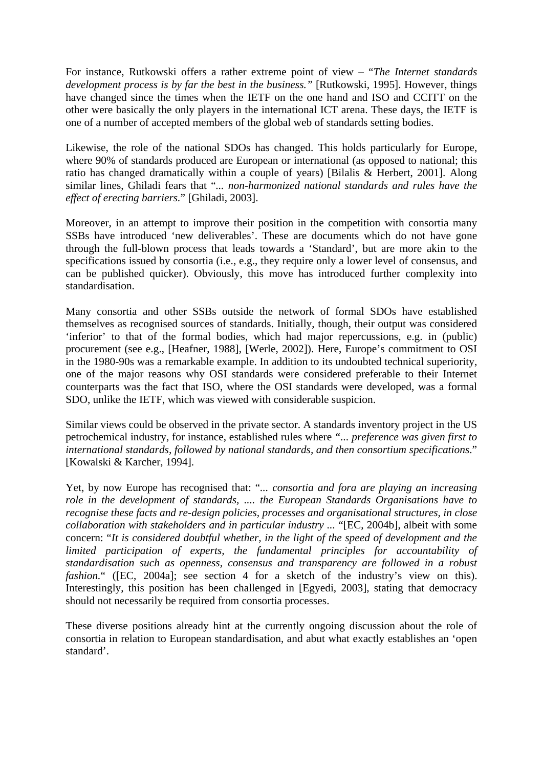For instance, Rutkowski offers a rather extreme point of view – "*The Internet standards development process is by far the best in the business."* [Rutkowski, 1995]. However, things have changed since the times when the IETF on the one hand and ISO and CCITT on the other were basically the only players in the international ICT arena. These days, the IETF is one of a number of accepted members of the global web of standards setting bodies.

Likewise, the role of the national SDOs has changed. This holds particularly for Europe, where 90% of standards produced are European or international (as opposed to national; this ratio has changed dramatically within a couple of years) [Bilalis & Herbert, 2001]. Along similar lines, Ghiladi fears that "*... non-harmonized national standards and rules have the effect of erecting barriers.*" [Ghiladi, 2003].

Moreover, in an attempt to improve their position in the competition with consortia many SSBs have introduced 'new deliverables'. These are documents which do not have gone through the full-blown process that leads towards a 'Standard', but are more akin to the specifications issued by consortia (i.e., e.g., they require only a lower level of consensus, and can be published quicker). Obviously, this move has introduced further complexity into standardisation.

Many consortia and other SSBs outside the network of formal SDOs have established themselves as recognised sources of standards. Initially, though, their output was considered 'inferior' to that of the formal bodies, which had major repercussions, e.g. in (public) procurement (see e.g., [Heafner, 1988], [Werle, 2002]). Here, Europe's commitment to OSI in the 1980-90s was a remarkable example. In addition to its undoubted technical superiority, one of the major reasons why OSI standards were considered preferable to their Internet counterparts was the fact that ISO, where the OSI standards were developed, was a formal SDO, unlike the IETF, which was viewed with considerable suspicion.

Similar views could be observed in the private sector. A standards inventory project in the US petrochemical industry, for instance, established rules where *"... preference was given first to international standards, followed by national standards, and then consortium specifications*." [Kowalski & Karcher, 1994].

Yet, by now Europe has recognised that: "*... consortia and fora are playing an increasing role in the development of standards, .... the European Standards Organisations have to recognise these facts and re-design policies, processes and organisational structures, in close collaboration with stakeholders and in particular industry ...* "[EC, 2004b], albeit with some concern: "*It is considered doubtful whether, in the light of the speed of development and the limited participation of experts, the fundamental principles for accountability of standardisation such as openness, consensus and transparency are followed in a robust fashion.*" ([EC, 2004a]; see section 4 for a sketch of the industry's view on this). Interestingly, this position has been challenged in [Egyedi, 2003], stating that democracy should not necessarily be required from consortia processes.

These diverse positions already hint at the currently ongoing discussion about the role of consortia in relation to European standardisation, and abut what exactly establishes an 'open standard'.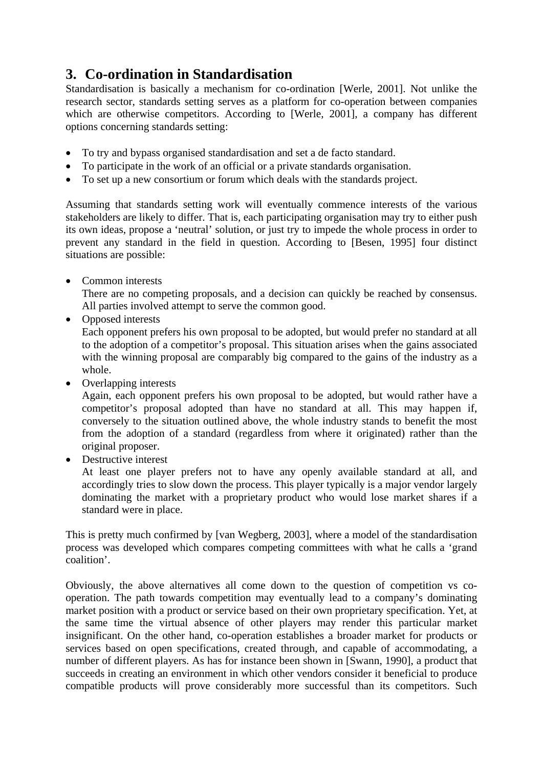### **3. Co-ordination in Standardisation**

Standardisation is basically a mechanism for co-ordination [Werle, 2001]. Not unlike the research sector, standards setting serves as a platform for co-operation between companies which are otherwise competitors. According to [Werle, 2001], a company has different options concerning standards setting:

- To try and bypass organised standardisation and set a de facto standard.
- To participate in the work of an official or a private standards organisation.
- To set up a new consortium or forum which deals with the standards project.

Assuming that standards setting work will eventually commence interests of the various stakeholders are likely to differ. That is, each participating organisation may try to either push its own ideas, propose a 'neutral' solution, or just try to impede the whole process in order to prevent any standard in the field in question. According to [Besen, 1995] four distinct situations are possible:

• Common interests

There are no competing proposals, and a decision can quickly be reached by consensus. All parties involved attempt to serve the common good.

• Opposed interests

Each opponent prefers his own proposal to be adopted, but would prefer no standard at all to the adoption of a competitor's proposal. This situation arises when the gains associated with the winning proposal are comparably big compared to the gains of the industry as a whole.

• Overlapping interests

Again, each opponent prefers his own proposal to be adopted, but would rather have a competitor's proposal adopted than have no standard at all. This may happen if, conversely to the situation outlined above, the whole industry stands to benefit the most from the adoption of a standard (regardless from where it originated) rather than the original proposer.

• Destructive interest

At least one player prefers not to have any openly available standard at all, and accordingly tries to slow down the process. This player typically is a major vendor largely dominating the market with a proprietary product who would lose market shares if a standard were in place.

This is pretty much confirmed by [van Wegberg, 2003], where a model of the standardisation process was developed which compares competing committees with what he calls a 'grand coalition'.

Obviously, the above alternatives all come down to the question of competition vs cooperation. The path towards competition may eventually lead to a company's dominating market position with a product or service based on their own proprietary specification. Yet, at the same time the virtual absence of other players may render this particular market insignificant. On the other hand, co-operation establishes a broader market for products or services based on open specifications, created through, and capable of accommodating, a number of different players. As has for instance been shown in [Swann, 1990], a product that succeeds in creating an environment in which other vendors consider it beneficial to produce compatible products will prove considerably more successful than its competitors. Such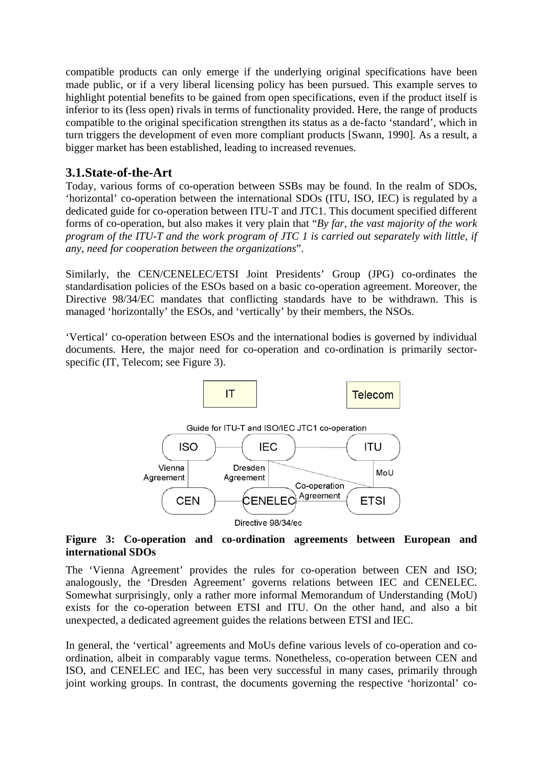compatible products can only emerge if the underlying original specifications have been made public, or if a very liberal licensing policy has been pursued. This example serves to highlight potential benefits to be gained from open specifications, even if the product itself is inferior to its (less open) rivals in terms of functionality provided. Here, the range of products compatible to the original specification strengthen its status as a de-facto 'standard', which in turn triggers the development of even more compliant products [Swann, 1990]. As a result, a bigger market has been established, leading to increased revenues.

#### **3.1.State-of-the-Art**

Today, various forms of co-operation between SSBs may be found. In the realm of SDOs, 'horizontal' co-operation between the international SDOs (ITU, ISO, IEC) is regulated by a dedicated guide for co-operation between ITU-T and JTC1. This document specified different forms of co-operation, but also makes it very plain that "*By far, the vast majority of the work program of the ITU-T and the work program of JTC 1 is carried out separately with little, if any, need for cooperation between the organizations*".

Similarly, the CEN/CENELEC/ETSI Joint Presidents' Group (JPG) co-ordinates the standardisation policies of the ESOs based on a basic co-operation agreement. Moreover, the Directive 98/34/EC mandates that conflicting standards have to be withdrawn. This is managed 'horizontally' the ESOs, and 'vertically' by their members, the NSOs.

'Vertical' co-operation between ESOs and the international bodies is governed by individual documents. Here, the major need for co-operation and co-ordination is primarily sectorspecific (IT, Telecom; see Figure 3).



#### **Figure 3: Co-operation and co-ordination agreements between European and international SDOs**

The 'Vienna Agreement' provides the rules for co-operation between CEN and ISO; analogously, the 'Dresden Agreement' governs relations between IEC and CENELEC. Somewhat surprisingly, only a rather more informal Memorandum of Understanding (MoU) exists for the co-operation between ETSI and ITU. On the other hand, and also a bit unexpected, a dedicated agreement guides the relations between ETSI and IEC.

In general, the 'vertical' agreements and MoUs define various levels of co-operation and coordination, albeit in comparably vague terms. Nonetheless, co-operation between CEN and ISO, and CENELEC and IEC, has been very successful in many cases, primarily through joint working groups. In contrast, the documents governing the respective 'horizontal' co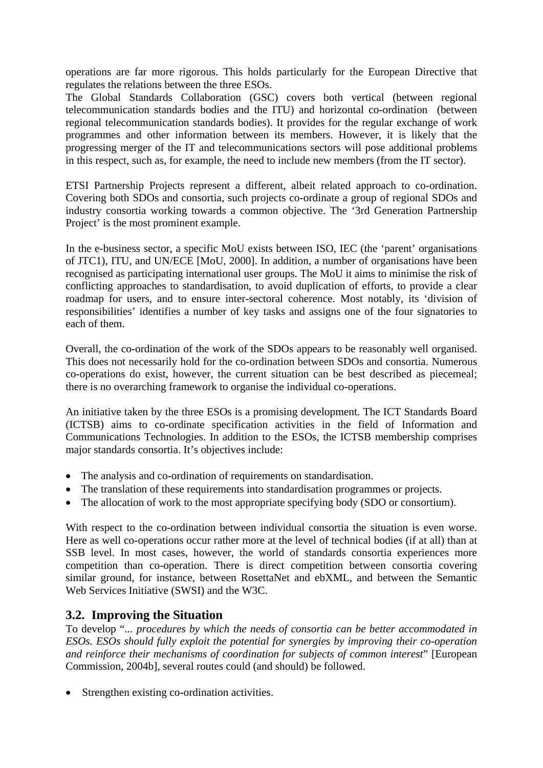operations are far more rigorous. This holds particularly for the European Directive that regulates the relations between the three ESOs.

The Global Standards Collaboration (GSC) covers both vertical (between regional telecommunication standards bodies and the ITU) and horizontal co-ordination (between regional telecommunication standards bodies). It provides for the regular exchange of work programmes and other information between its members. However, it is likely that the progressing merger of the IT and telecommunications sectors will pose additional problems in this respect, such as, for example, the need to include new members (from the IT sector).

ETSI Partnership Projects represent a different, albeit related approach to co-ordination. Covering both SDOs and consortia, such projects co-ordinate a group of regional SDOs and industry consortia working towards a common objective. The '3rd Generation Partnership Project' is the most prominent example.

In the e-business sector, a specific MoU exists between ISO, IEC (the 'parent' organisations of JTC1), ITU, and UN/ECE [MoU, 2000]. In addition, a number of organisations have been recognised as participating international user groups. The MoU it aims to minimise the risk of conflicting approaches to standardisation, to avoid duplication of efforts, to provide a clear roadmap for users, and to ensure inter-sectoral coherence. Most notably, its 'division of responsibilities' identifies a number of key tasks and assigns one of the four signatories to each of them.

Overall, the co-ordination of the work of the SDOs appears to be reasonably well organised. This does not necessarily hold for the co-ordination between SDOs and consortia. Numerous co-operations do exist, however, the current situation can be best described as piecemeal; there is no overarching framework to organise the individual co-operations.

An initiative taken by the three ESOs is a promising development. The ICT Standards Board (ICTSB) aims to co-ordinate specification activities in the field of Information and Communications Technologies. In addition to the ESOs, the ICTSB membership comprises major standards consortia. It's objectives include:

- The analysis and co-ordination of requirements on standardisation.
- The translation of these requirements into standardisation programmes or projects.
- The allocation of work to the most appropriate specifying body (SDO or consortium).

With respect to the co-ordination between individual consortia the situation is even worse. Here as well co-operations occur rather more at the level of technical bodies (if at all) than at SSB level. In most cases, however, the world of standards consortia experiences more competition than co-operation. There is direct competition between consortia covering similar ground, for instance, between RosettaNet and ebXML, and between the Semantic Web Services Initiative (SWSI) and the W3C.

#### **3.2. Improving the Situation**

To develop "*... procedures by which the needs of consortia can be better accommodated in ESOs. ESOs should fully exploit the potential for synergies by improving their co-operation and reinforce their mechanisms of coordination for subjects of common interest*" [European Commission, 2004b], several routes could (and should) be followed.

• Strengthen existing co-ordination activities.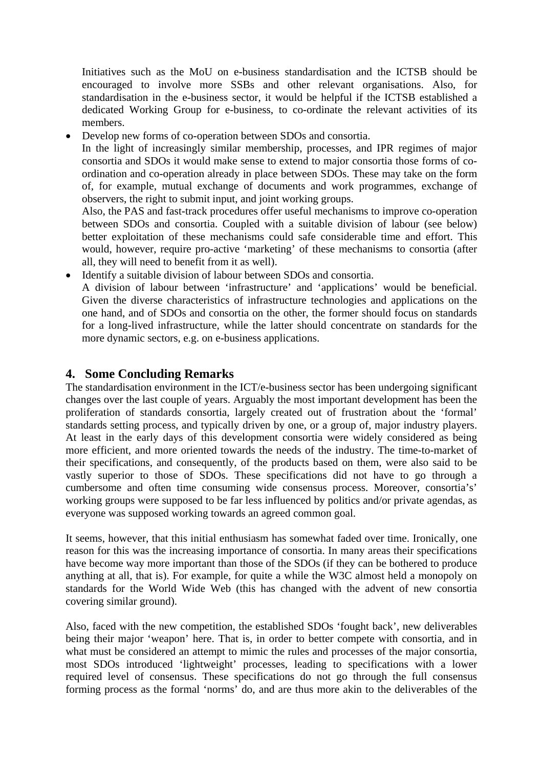Initiatives such as the MoU on e-business standardisation and the ICTSB should be encouraged to involve more SSBs and other relevant organisations. Also, for standardisation in the e-business sector, it would be helpful if the ICTSB established a dedicated Working Group for e-business, to co-ordinate the relevant activities of its members.

• Develop new forms of co-operation between SDOs and consortia.

In the light of increasingly similar membership, processes, and IPR regimes of major consortia and SDOs it would make sense to extend to major consortia those forms of coordination and co-operation already in place between SDOs. These may take on the form of, for example, mutual exchange of documents and work programmes, exchange of observers, the right to submit input, and joint working groups.

Also, the PAS and fast-track procedures offer useful mechanisms to improve co-operation between SDOs and consortia. Coupled with a suitable division of labour (see below) better exploitation of these mechanisms could safe considerable time and effort. This would, however, require pro-active 'marketing' of these mechanisms to consortia (after all, they will need to benefit from it as well).

• Identify a suitable division of labour between SDOs and consortia.

A division of labour between 'infrastructure' and 'applications' would be beneficial. Given the diverse characteristics of infrastructure technologies and applications on the one hand, and of SDOs and consortia on the other, the former should focus on standards for a long-lived infrastructure, while the latter should concentrate on standards for the more dynamic sectors, e.g. on e-business applications.

#### **4. Some Concluding Remarks**

The standardisation environment in the ICT/e-business sector has been undergoing significant changes over the last couple of years. Arguably the most important development has been the proliferation of standards consortia, largely created out of frustration about the 'formal' standards setting process, and typically driven by one, or a group of, major industry players. At least in the early days of this development consortia were widely considered as being more efficient, and more oriented towards the needs of the industry. The time-to-market of their specifications, and consequently, of the products based on them, were also said to be vastly superior to those of SDOs. These specifications did not have to go through a cumbersome and often time consuming wide consensus process. Moreover, consortia's' working groups were supposed to be far less influenced by politics and/or private agendas, as everyone was supposed working towards an agreed common goal.

It seems, however, that this initial enthusiasm has somewhat faded over time. Ironically, one reason for this was the increasing importance of consortia. In many areas their specifications have become way more important than those of the SDOs (if they can be bothered to produce anything at all, that is). For example, for quite a while the W3C almost held a monopoly on standards for the World Wide Web (this has changed with the advent of new consortia covering similar ground).

Also, faced with the new competition, the established SDOs 'fought back', new deliverables being their major 'weapon' here. That is, in order to better compete with consortia, and in what must be considered an attempt to mimic the rules and processes of the major consortia, most SDOs introduced 'lightweight' processes, leading to specifications with a lower required level of consensus. These specifications do not go through the full consensus forming process as the formal 'norms' do, and are thus more akin to the deliverables of the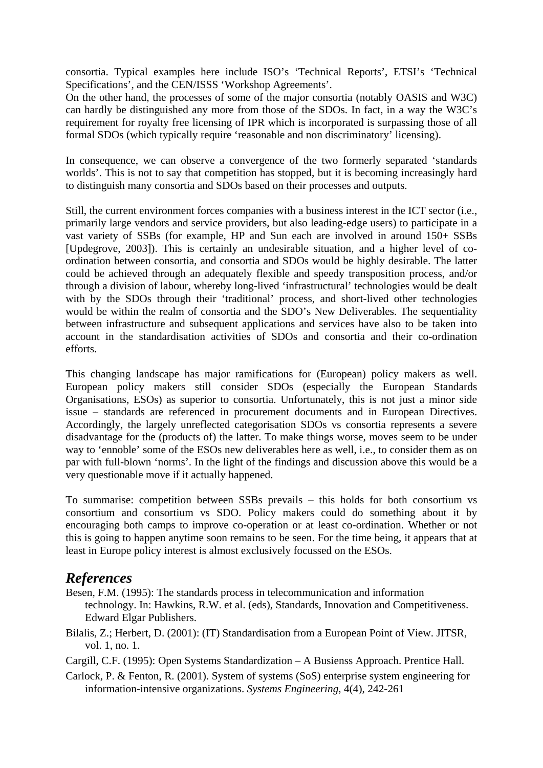consortia. Typical examples here include ISO's 'Technical Reports', ETSI's 'Technical Specifications', and the CEN/ISSS 'Workshop Agreements'.

On the other hand, the processes of some of the major consortia (notably OASIS and W3C) can hardly be distinguished any more from those of the SDOs. In fact, in a way the W3C's requirement for royalty free licensing of IPR which is incorporated is surpassing those of all formal SDOs (which typically require 'reasonable and non discriminatory' licensing).

In consequence, we can observe a convergence of the two formerly separated 'standards worlds'. This is not to say that competition has stopped, but it is becoming increasingly hard to distinguish many consortia and SDOs based on their processes and outputs.

Still, the current environment forces companies with a business interest in the ICT sector (i.e., primarily large vendors and service providers, but also leading-edge users) to participate in a vast variety of SSBs (for example, HP and Sun each are involved in around 150+ SSBs [Updegrove, 2003]). This is certainly an undesirable situation, and a higher level of coordination between consortia, and consortia and SDOs would be highly desirable. The latter could be achieved through an adequately flexible and speedy transposition process, and/or through a division of labour, whereby long-lived 'infrastructural' technologies would be dealt with by the SDOs through their 'traditional' process, and short-lived other technologies would be within the realm of consortia and the SDO's New Deliverables. The sequentiality between infrastructure and subsequent applications and services have also to be taken into account in the standardisation activities of SDOs and consortia and their co-ordination efforts.

This changing landscape has major ramifications for (European) policy makers as well. European policy makers still consider SDOs (especially the European Standards Organisations, ESOs) as superior to consortia. Unfortunately, this is not just a minor side issue – standards are referenced in procurement documents and in European Directives. Accordingly, the largely unreflected categorisation SDOs vs consortia represents a severe disadvantage for the (products of) the latter. To make things worse, moves seem to be under way to 'ennoble' some of the ESOs new deliverables here as well, i.e., to consider them as on par with full-blown 'norms'. In the light of the findings and discussion above this would be a very questionable move if it actually happened.

To summarise: competition between SSBs prevails – this holds for both consortium vs consortium and consortium vs SDO. Policy makers could do something about it by encouraging both camps to improve co-operation or at least co-ordination. Whether or not this is going to happen anytime soon remains to be seen. For the time being, it appears that at least in Europe policy interest is almost exclusively focussed on the ESOs.

#### *References*

- Besen, F.M. (1995): The standards process in telecommunication and information technology. In: Hawkins, R.W. et al. (eds), Standards, Innovation and Competitiveness. Edward Elgar Publishers.
- Bilalis, Z.; Herbert, D. (2001): (IT) Standardisation from a European Point of View. JITSR, vol. 1, no. 1.
- Cargill, C.F. (1995): Open Systems Standardization A Busienss Approach. Prentice Hall.
- Carlock, P. & Fenton, R. (2001). System of systems (SoS) enterprise system engineering for information-intensive organizations. *Systems Engineering,* 4(4), 242-261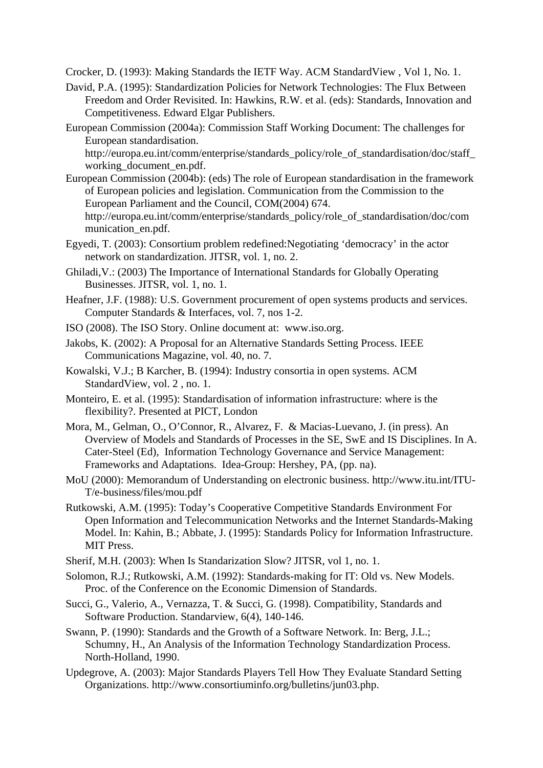Crocker, D. (1993): Making Standards the IETF Way. ACM StandardView , Vol 1, No. 1.

- David, P.A. (1995): Standardization Policies for Network Technologies: The Flux Between Freedom and Order Revisited. In: Hawkins, R.W. et al. (eds): Standards, Innovation and Competitiveness. Edward Elgar Publishers.
- European Commission (2004a): Commission Staff Working Document: The challenges for European standardisation. http://europa.eu.int/comm/enterprise/standards\_policy/role\_of\_standardisation/doc/staff\_ working\_document\_en.pdf.
- European Commission (2004b): (eds) The role of European standardisation in the framework of European policies and legislation. Communication from the Commission to the European Parliament and the Council, COM(2004) 674. http://europa.eu.int/comm/enterprise/standards\_policy/role\_of\_standardisation/doc/com munication\_en.pdf.
- Egyedi, T. (2003): Consortium problem redefined:Negotiating 'democracy' in the actor network on standardization. JITSR, vol. 1, no. 2.
- Ghiladi,V.: (2003) The Importance of International Standards for Globally Operating Businesses. JITSR, vol. 1, no. 1.
- Heafner, J.F. (1988): U.S. Government procurement of open systems products and services. Computer Standards & Interfaces, vol. 7, nos 1-2.
- ISO (2008). The ISO Story. Online document at: www.iso.org.
- Jakobs, K. (2002): A Proposal for an Alternative Standards Setting Process. IEEE Communications Magazine, vol. 40, no. 7.
- Kowalski, V.J.; B Karcher, B. (1994): Industry consortia in open systems. ACM StandardView, vol. 2 , no. 1.
- Monteiro, E. et al. (1995): Standardisation of information infrastructure: where is the flexibility?. Presented at PICT, London
- Mora, M., Gelman, O., O'Connor, R., Alvarez, F. & Macias-Luevano, J. (in press). An Overview of Models and Standards of Processes in the SE, SwE and IS Disciplines. In A. Cater-Steel (Ed), Information Technology Governance and Service Management: Frameworks and Adaptations. Idea-Group: Hershey, PA, (pp. na).
- MoU (2000): Memorandum of Understanding on electronic business. http://www.itu.int/ITU-T/e-business/files/mou.pdf
- Rutkowski, A.M. (1995): Today's Cooperative Competitive Standards Environment For Open Information and Telecommunication Networks and the Internet Standards-Making Model. In: Kahin, B.; Abbate, J. (1995): Standards Policy for Information Infrastructure. MIT Press.
- Sherif, M.H. (2003): When Is Standarization Slow? JITSR, vol 1, no. 1.
- Solomon, R.J.; Rutkowski, A.M. (1992): Standards-making for IT: Old vs. New Models. Proc. of the Conference on the Economic Dimension of Standards.
- Succi, G., Valerio, A., Vernazza, T. & Succi, G. (1998). Compatibility, Standards and Software Production. Standarview, 6(4), 140-146.
- Swann, P. (1990): Standards and the Growth of a Software Network. In: Berg, J.L.; Schumny, H., An Analysis of the Information Technology Standardization Process. North-Holland, 1990.
- Updegrove, A. (2003): Major Standards Players Tell How They Evaluate Standard Setting Organizations. http://www.consortiuminfo.org/bulletins/jun03.php.